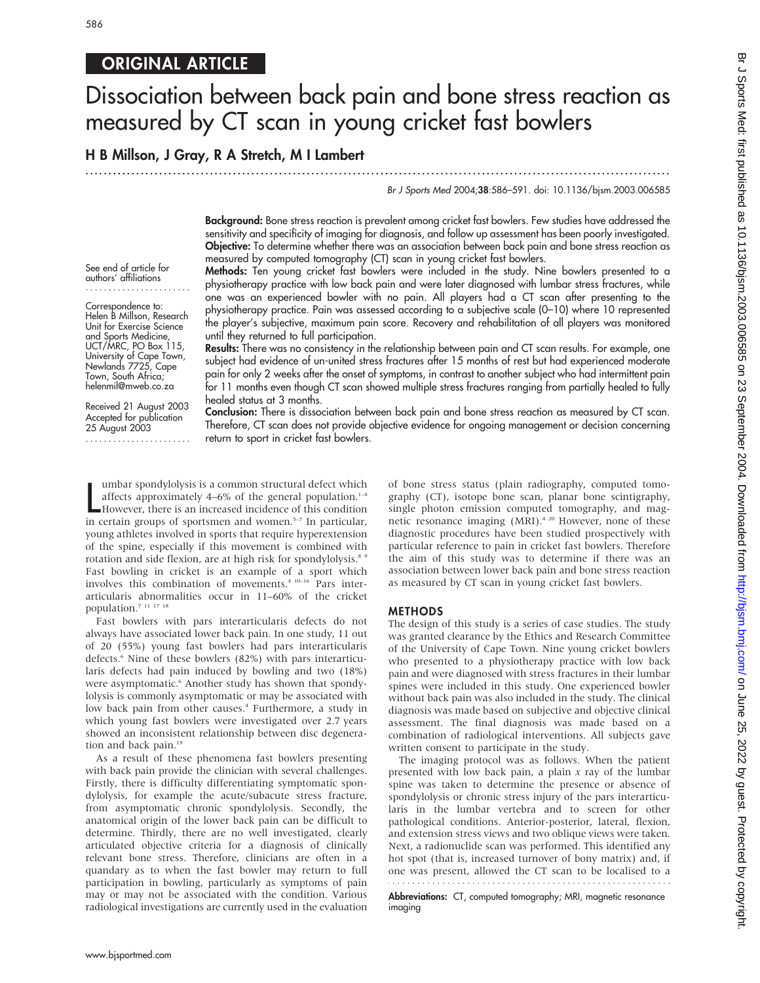# ORIGINAL ARTICLE

# Dissociation between back pain and bone stress reaction as measured by CT scan in young cricket fast bowlers

# H B Millson, J Gray, R A Stretch, M I Lambert

...............................................................................................................................

Br J Sports Med 2004;38:586–591. doi: 10.1136/bjsm.2003.006585

Background: Bone stress reaction is prevalent among cricket fast bowlers. Few studies have addressed the sensitivity and specificity of imaging for diagnosis, and follow up assessment has been poorly investigated. Objective: To determine whether there was an association between back pain and bone stress reaction as measured by computed tomography (CT) scan in young cricket fast bowlers.

See end of article for authors' affiliations .......................

Correspondence to: Helen B Millson, Research Unit for Exercise Science and Sports Medicine, UCT/MRC, PO Box 115, University of Cape Town, Newlands 7725, Cape Town, South Africa; helenmil@mweb.co.za

Received 21 August 2003 Accepted for publication 25 August 2003 ....................... Methods: Ten young cricket fast bowlers were included in the study. Nine bowlers presented to a physiotherapy practice with low back pain and were later diagnosed with lumbar stress fractures, while one was an experienced bowler with no pain. All players had a CT scan after presenting to the physiotherapy practice. Pain was assessed according to a subjective scale (0–10) where 10 represented the player's subjective, maximum pain score. Recovery and rehabilitation of all players was monitored until they returned to full participation.

Results: There was no consistency in the relationship between pain and CT scan results. For example, one subject had evidence of un-united stress fractures after 15 months of rest but had experienced moderate pain for only 2 weeks after the onset of symptoms, in contrast to another subject who had intermittent pain for 11 months even though CT scan showed multiple stress fractures ranging from partially healed to fully healed status at 3 months.

Conclusion: There is dissociation between back pain and bone stress reaction as measured by CT scan. Therefore, CT scan does not provide objective evidence for ongoing management or decision concerning return to sport in cricket fast bowlers.

lumbar spondylolysis is a common structural defect which<br>affects approximately 4–6% of the general population.<sup>1–4</sup><br>However, there is an increased incidence of this condition<br>in certain groups of sportsmen and women.<sup>5–7</sup> umbar spondylolysis is a common structural defect which affects approximately 4–6% of the general population.<sup>1-4</sup> However, there is an increased incidence of this condition young athletes involved in sports that require hyperextension of the spine, especially if this movement is combined with rotation and side flexion, are at high risk for spondylolysis.<sup>8</sup> <sup>9</sup> Fast bowling in cricket is an example of a sport which involves this combination of movements.4 10–16 Pars interarticularis abnormalities occur in 11–60% of the cricket population.7 11 17 18

Fast bowlers with pars interarticularis defects do not always have associated lower back pain. In one study, 11 out of 20 (55%) young fast bowlers had pars interarticularis defects.<sup>6</sup> Nine of these bowlers (82%) with pars interarticularis defects had pain induced by bowling and two (18%) were asymptomatic.<sup>6</sup> Another study has shown that spondylolysis is commonly asymptomatic or may be associated with low back pain from other causes.<sup>4</sup> Furthermore, a study in which young fast bowlers were investigated over 2.7 years showed an inconsistent relationship between disc degeneration and back pain.<sup>19</sup>

As a result of these phenomena fast bowlers presenting with back pain provide the clinician with several challenges. Firstly, there is difficulty differentiating symptomatic spondylolysis, for example the acute/subacute stress fracture, from asymptomatic chronic spondylolysis. Secondly, the anatomical origin of the lower back pain can be difficult to determine. Thirdly, there are no well investigated, clearly articulated objective criteria for a diagnosis of clinically relevant bone stress. Therefore, clinicians are often in a quandary as to when the fast bowler may return to full participation in bowling, particularly as symptoms of pain may or may not be associated with the condition. Various radiological investigations are currently used in the evaluation

of bone stress status (plain radiography, computed tomography (CT), isotope bone scan, planar bone scintigraphy, single photon emission computed tomography, and magnetic resonance imaging (MRI).<sup>4 20</sup> However, none of these diagnostic procedures have been studied prospectively with particular reference to pain in cricket fast bowlers. Therefore the aim of this study was to determine if there was an association between lower back pain and bone stress reaction as measured by CT scan in young cricket fast bowlers.

# METHODS

The design of this study is a series of case studies. The study was granted clearance by the Ethics and Research Committee of the University of Cape Town. Nine young cricket bowlers who presented to a physiotherapy practice with low back pain and were diagnosed with stress fractures in their lumbar spines were included in this study. One experienced bowler without back pain was also included in the study. The clinical diagnosis was made based on subjective and objective clinical assessment. The final diagnosis was made based on a combination of radiological interventions. All subjects gave written consent to participate in the study.

The imaging protocol was as follows. When the patient presented with low back pain, a plain  $x$  ray of the lumbar spine was taken to determine the presence or absence of spondylolysis or chronic stress injury of the pars interarticularis in the lumbar vertebra and to screen for other pathological conditions. Anterior-posterior, lateral, flexion, and extension stress views and two oblique views were taken. Next, a radionuclide scan was performed. This identified any hot spot (that is, increased turnover of bony matrix) and, if one was present, allowed the CT scan to be localised to a

Abbreviations: CT, computed tomography; MRI, magnetic resonance imaging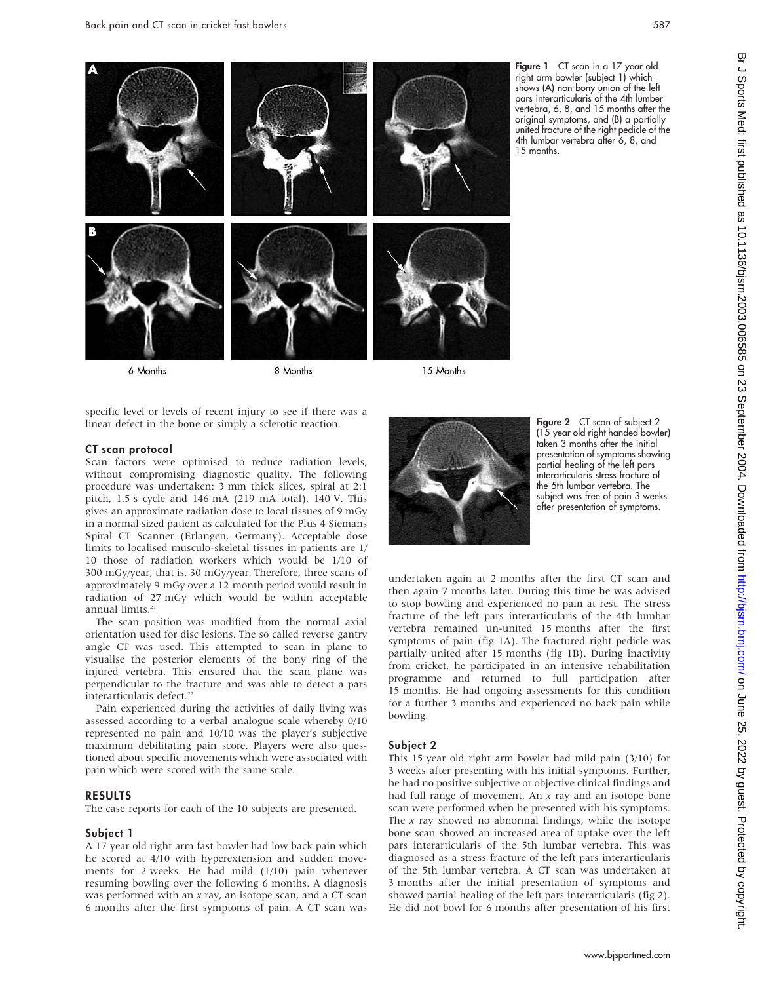

6 Months

8 Months

15 Months

specific level or levels of recent injury to see if there was a linear defect in the bone or simply a sclerotic reaction.

# CT scan protocol

Scan factors were optimised to reduce radiation levels, without compromising diagnostic quality. The following procedure was undertaken: 3 mm thick slices, spiral at 2:1 pitch, 1.5 s cycle and 146 mA (219 mA total), 140 V. This gives an approximate radiation dose to local tissues of 9 mGy in a normal sized patient as calculated for the Plus 4 Siemans Spiral CT Scanner (Erlangen, Germany). Acceptable dose limits to localised musculo-skeletal tissues in patients are 1/ 10 those of radiation workers which would be 1/10 of 300 mGy/year, that is, 30 mGy/year. Therefore, three scans of approximately 9 mGy over a 12 month period would result in radiation of 27 mGy which would be within acceptable annual limits.<sup>21</sup>

The scan position was modified from the normal axial orientation used for disc lesions. The so called reverse gantry angle CT was used. This attempted to scan in plane to visualise the posterior elements of the bony ring of the injured vertebra. This ensured that the scan plane was perpendicular to the fracture and was able to detect a pars interarticularis defect.<sup>22</sup>

Pain experienced during the activities of daily living was assessed according to a verbal analogue scale whereby 0/10 represented no pain and 10/10 was the player's subjective maximum debilitating pain score. Players were also questioned about specific movements which were associated with pain which were scored with the same scale.

#### RESULTS

The case reports for each of the 10 subjects are presented.

# Subject 1

A 17 year old right arm fast bowler had low back pain which he scored at 4/10 with hyperextension and sudden movements for 2 weeks. He had mild (1/10) pain whenever resuming bowling over the following 6 months. A diagnosis was performed with an  $x$  ray, an isotope scan, and a CT scan 6 months after the first symptoms of pain. A CT scan was



Figure 2 CT scan of subject 2 (15 year old right handed bowler) taken 3 months after the initial presentation of symptoms showing partial healing of the left pars interarticularis stress fracture of the 5th lumbar vertebra. The subject was free of pain 3 weeks after presentation of symptoms.

Figure 1 CT scan in a 17 year old right arm bowler (subject 1) which shows (A) non-bony union of the left pars interarticularis of the 4th lumber vertebra, 6, 8, and 15 months after the original symptoms, and (B) a partially united fracture of the right pedicle of the 4th lumbar vertebra after 6, 8, and

15 months.

undertaken again at 2 months after the first CT scan and then again 7 months later. During this time he was advised to stop bowling and experienced no pain at rest. The stress fracture of the left pars interarticularis of the 4th lumbar vertebra remained un-united 15 months after the first symptoms of pain (fig 1A). The fractured right pedicle was partially united after 15 months (fig 1B). During inactivity from cricket, he participated in an intensive rehabilitation programme and returned to full participation after 15 months. He had ongoing assessments for this condition for a further 3 months and experienced no back pain while bowling.

#### Subject 2

This 15 year old right arm bowler had mild pain (3/10) for 3 weeks after presenting with his initial symptoms. Further, he had no positive subjective or objective clinical findings and had full range of movement. An  $x$  ray and an isotope bone scan were performed when he presented with his symptoms. The  $x$  ray showed no abnormal findings, while the isotope bone scan showed an increased area of uptake over the left pars interarticularis of the 5th lumbar vertebra. This was diagnosed as a stress fracture of the left pars interarticularis of the 5th lumbar vertebra. A CT scan was undertaken at 3 months after the initial presentation of symptoms and showed partial healing of the left pars interarticularis (fig 2). He did not bowl for 6 months after presentation of his first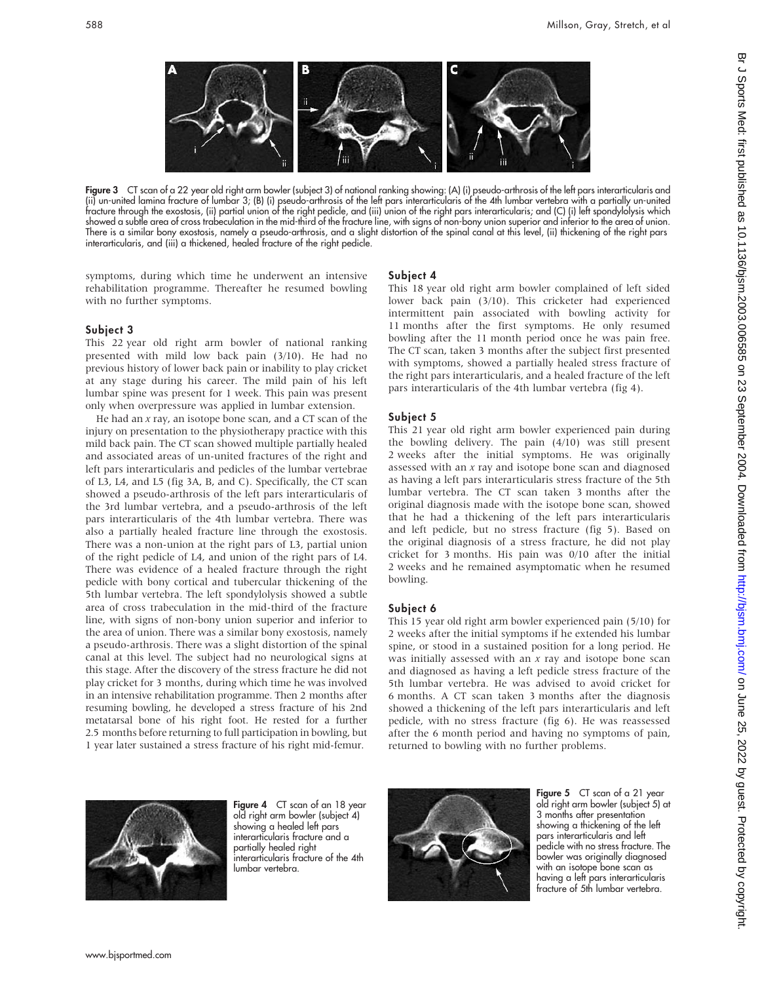

Figure 3 CT scan of a 22 year old right arm bowler (subject 3) of national ranking showing: (A) (i) pseudo-arthrosis of the left pars interarticularis and (ii) un-united lamina fracture of lumbar 3; (B) (i) pseudo-arthrosis of the left pars interarticularis of the 4th lumbar vertebra with a partially un-united fracture through the exostosis, (ii) partial union of the right pedicle, and (iii) union of the right pars interarticularis; and (C) (i) left spondylolysis which showed a subtle area of cross trabeculation in the mid-third of the fracture line, with signs of non-bony union superior and inferior to the area of union. There is a similar bony exostosis, namely a pseudo-arthrosis, and a slight distortion of the spinal canal at this level, (ii) thickening of the right pars interarticularis, and (iii) a thickened, healed fracture of the right pedicle.

symptoms, during which time he underwent an intensive rehabilitation programme. Thereafter he resumed bowling with no further symptoms.

#### Subject 3

This 22 year old right arm bowler of national ranking presented with mild low back pain (3/10). He had no previous history of lower back pain or inability to play cricket at any stage during his career. The mild pain of his left lumbar spine was present for 1 week. This pain was present only when overpressure was applied in lumbar extension.

He had an  $x$  ray, an isotope bone scan, and a CT scan of the injury on presentation to the physiotherapy practice with this mild back pain. The CT scan showed multiple partially healed and associated areas of un-united fractures of the right and left pars interarticularis and pedicles of the lumbar vertebrae of L3, L4, and L5 (fig 3A, B, and C). Specifically, the CT scan showed a pseudo-arthrosis of the left pars interarticularis of the 3rd lumbar vertebra, and a pseudo-arthrosis of the left pars interarticularis of the 4th lumbar vertebra. There was also a partially healed fracture line through the exostosis. There was a non-union at the right pars of L3, partial union of the right pedicle of L4, and union of the right pars of L4. There was evidence of a healed fracture through the right pedicle with bony cortical and tubercular thickening of the 5th lumbar vertebra. The left spondylolysis showed a subtle area of cross trabeculation in the mid-third of the fracture line, with signs of non-bony union superior and inferior to the area of union. There was a similar bony exostosis, namely a pseudo-arthrosis. There was a slight distortion of the spinal canal at this level. The subject had no neurological signs at this stage. After the discovery of the stress fracture he did not play cricket for 3 months, during which time he was involved in an intensive rehabilitation programme. Then 2 months after resuming bowling, he developed a stress fracture of his 2nd metatarsal bone of his right foot. He rested for a further 2.5 months before returning to full participation in bowling, but 1 year later sustained a stress fracture of his right mid-femur.

# Subject 4

This 18 year old right arm bowler complained of left sided lower back pain (3/10). This cricketer had experienced intermittent pain associated with bowling activity for 11 months after the first symptoms. He only resumed bowling after the 11 month period once he was pain free. The CT scan, taken 3 months after the subject first presented with symptoms, showed a partially healed stress fracture of the right pars interarticularis, and a healed fracture of the left pars interarticularis of the 4th lumbar vertebra (fig 4).

# Subject 5

This 21 year old right arm bowler experienced pain during the bowling delivery. The pain (4/10) was still present 2 weeks after the initial symptoms. He was originally assessed with an  $x$  ray and isotope bone scan and diagnosed as having a left pars interarticularis stress fracture of the 5th lumbar vertebra. The CT scan taken 3 months after the original diagnosis made with the isotope bone scan, showed that he had a thickening of the left pars interarticularis and left pedicle, but no stress fracture (fig 5). Based on the original diagnosis of a stress fracture, he did not play cricket for 3 months. His pain was 0/10 after the initial 2 weeks and he remained asymptomatic when he resumed bowling.

#### Subject 6

This 15 year old right arm bowler experienced pain (5/10) for 2 weeks after the initial symptoms if he extended his lumbar spine, or stood in a sustained position for a long period. He was initially assessed with an  $x$  ray and isotope bone scan and diagnosed as having a left pedicle stress fracture of the 5th lumbar vertebra. He was advised to avoid cricket for 6 months. A CT scan taken 3 months after the diagnosis showed a thickening of the left pars interarticularis and left pedicle, with no stress fracture (fig 6). He was reassessed after the 6 month period and having no symptoms of pain, returned to bowling with no further problems.



Figure 4 CT scan of an 18 year old right arm bowler (subject 4) showing a healed left pars interarticularis fracture and a partially healed right interarticularis fracture of the 4th lumbar vertebra.



Figure 5 CT scan of a 21 year old right arm bowler (subject 5) at 3 months after presentation showing a thickening of the left pars interarticularis and left pedicle with no stress fracture. The bowler was originally diagnosed with an isotope bone scan as having a left pars interarticularis fracture of 5th lumbar vertebra.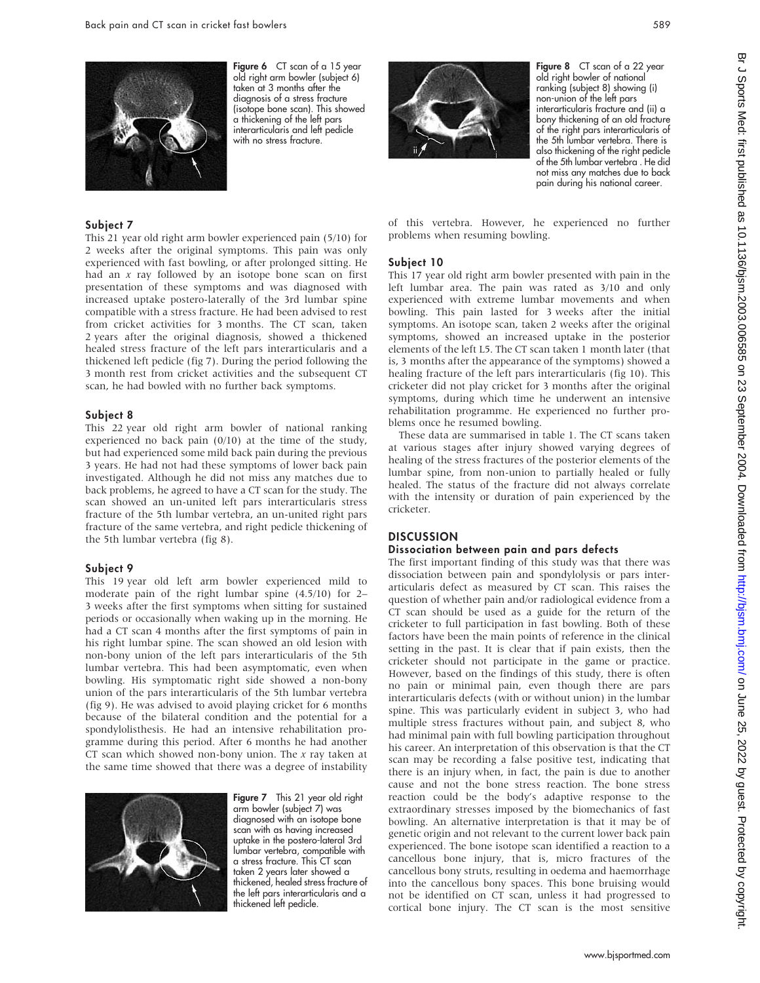

Figure 6 CT scan of a 15 year old right arm bowler (subject 6) taken at 3 months after the diagnosis of a stress fracture (isotope bone scan). This showed a thickening of the left pars interarticularis and left pedicle with no stress fracture.



Figure 8 CT scan of a 22 year old right bowler of national ranking (subject 8) showing (i) non-union of the left pars interarticularis fracture and (ii) a bony thickening of an old fracture of the right pars interarticularis of the 5th lumbar vertebra. There is also thickening of the right pedicle of the 5th lumbar vertebra . He did not miss any matches due to back pain during his national career.

# Subject 7

This 21 year old right arm bowler experienced pain (5/10) for 2 weeks after the original symptoms. This pain was only experienced with fast bowling, or after prolonged sitting. He had an  $x$  ray followed by an isotope bone scan on first presentation of these symptoms and was diagnosed with increased uptake postero-laterally of the 3rd lumbar spine compatible with a stress fracture. He had been advised to rest from cricket activities for 3 months. The CT scan, taken 2 years after the original diagnosis, showed a thickened healed stress fracture of the left pars interarticularis and a thickened left pedicle (fig 7). During the period following the 3 month rest from cricket activities and the subsequent CT scan, he had bowled with no further back symptoms.

# Subject 8

This 22 year old right arm bowler of national ranking experienced no back pain (0/10) at the time of the study, but had experienced some mild back pain during the previous 3 years. He had not had these symptoms of lower back pain investigated. Although he did not miss any matches due to back problems, he agreed to have a CT scan for the study. The scan showed an un-united left pars interarticularis stress fracture of the 5th lumbar vertebra, an un-united right pars fracture of the same vertebra, and right pedicle thickening of the 5th lumbar vertebra (fig 8).

#### Subject 9

This 19 year old left arm bowler experienced mild to moderate pain of the right lumbar spine (4.5/10) for 2– 3 weeks after the first symptoms when sitting for sustained periods or occasionally when waking up in the morning. He had a CT scan 4 months after the first symptoms of pain in his right lumbar spine. The scan showed an old lesion with non-bony union of the left pars interarticularis of the 5th lumbar vertebra. This had been asymptomatic, even when bowling. His symptomatic right side showed a non-bony union of the pars interarticularis of the 5th lumbar vertebra (fig 9). He was advised to avoid playing cricket for 6 months because of the bilateral condition and the potential for a spondylolisthesis. He had an intensive rehabilitation programme during this period. After 6 months he had another CT scan which showed non-bony union. The  $x$  ray taken at the same time showed that there was a degree of instability



Figure 7 This 21 year old right arm bowler (subject 7) was diagnosed with an isotope bone scan with as having increased uptake in the postero-lateral 3rd lumbar vertebra, compatible with a stress fracture. This CT scan taken 2 years later showed a thickened, healed stress fracture of the left pars interarticularis and a thickened left pedicle.

of this vertebra. However, he experienced no further problems when resuming bowling.

#### Subject 10

This 17 year old right arm bowler presented with pain in the left lumbar area. The pain was rated as 3/10 and only experienced with extreme lumbar movements and when bowling. This pain lasted for 3 weeks after the initial symptoms. An isotope scan, taken 2 weeks after the original symptoms, showed an increased uptake in the posterior elements of the left L5. The CT scan taken 1 month later (that is, 3 months after the appearance of the symptoms) showed a healing fracture of the left pars interarticularis (fig 10). This cricketer did not play cricket for 3 months after the original symptoms, during which time he underwent an intensive rehabilitation programme. He experienced no further problems once he resumed bowling.

These data are summarised in table 1. The CT scans taken at various stages after injury showed varying degrees of healing of the stress fractures of the posterior elements of the lumbar spine, from non-union to partially healed or fully healed. The status of the fracture did not always correlate with the intensity or duration of pain experienced by the cricketer.

# **DISCUSSION**

#### Dissociation between pain and pars defects

The first important finding of this study was that there was dissociation between pain and spondylolysis or pars interarticularis defect as measured by CT scan. This raises the question of whether pain and/or radiological evidence from a CT scan should be used as a guide for the return of the cricketer to full participation in fast bowling. Both of these factors have been the main points of reference in the clinical setting in the past. It is clear that if pain exists, then the cricketer should not participate in the game or practice. However, based on the findings of this study, there is often no pain or minimal pain, even though there are pars interarticularis defects (with or without union) in the lumbar spine. This was particularly evident in subject 3, who had multiple stress fractures without pain, and subject 8, who had minimal pain with full bowling participation throughout his career. An interpretation of this observation is that the CT scan may be recording a false positive test, indicating that there is an injury when, in fact, the pain is due to another cause and not the bone stress reaction. The bone stress reaction could be the body's adaptive response to the extraordinary stresses imposed by the biomechanics of fast bowling. An alternative interpretation is that it may be of genetic origin and not relevant to the current lower back pain experienced. The bone isotope scan identified a reaction to a cancellous bone injury, that is, micro fractures of the cancellous bony struts, resulting in oedema and haemorrhage into the cancellous bony spaces. This bone bruising would not be identified on CT scan, unless it had progressed to cortical bone injury. The CT scan is the most sensitive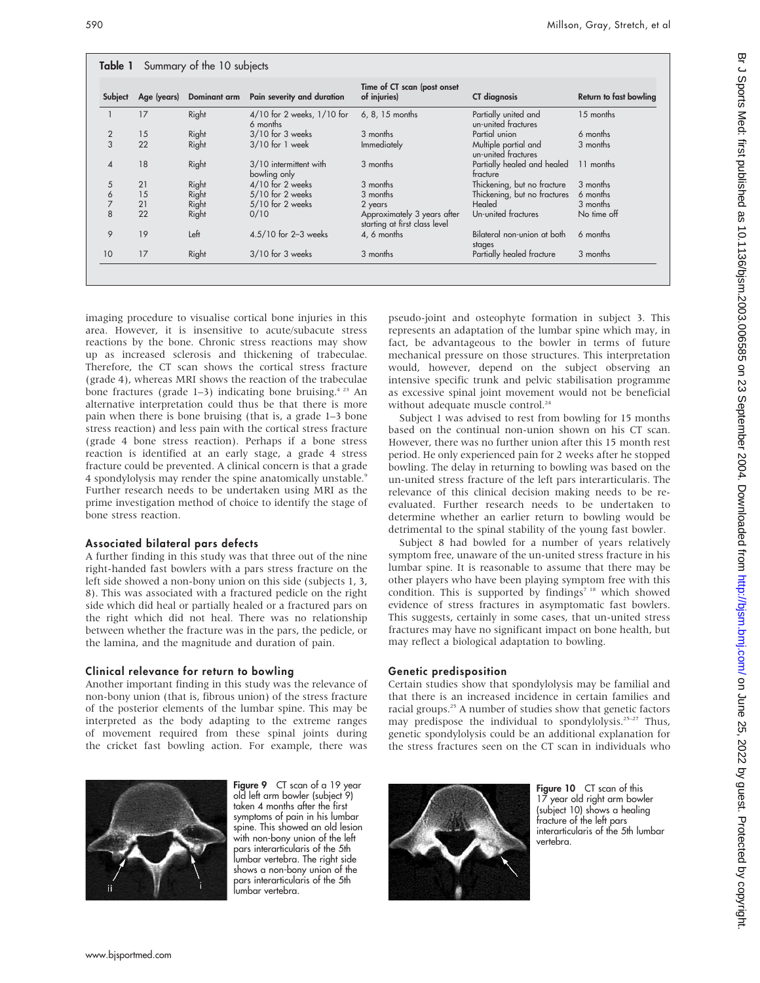| Subject        | Age (years) | <b>Dominant arm</b> | Pain severity and duration                 | Time of CT scan (post onset<br>of injuries)                  | CT diagnosis                                | Return to fast bowling |
|----------------|-------------|---------------------|--------------------------------------------|--------------------------------------------------------------|---------------------------------------------|------------------------|
|                | 17          | Right               | $4/10$ for 2 weeks, $1/10$ for<br>6 months | 6, 8, 15 months                                              | Partially united and<br>un-united fractures | 15 months              |
| 2              | 15          | Right               | $3/10$ for $3$ weeks                       | 3 months                                                     | Partial union                               | 6 months               |
| 3              | 22          | Right               | $3/10$ for 1 week                          | Immediately                                                  | Multiple partial and<br>un-united fractures | 3 months               |
| 4              | 18          | Right               | 3/10 intermittent with<br>bowling only     | 3 months                                                     | Partially healed and healed<br>fracture     | 11 months              |
| 5              | 21          | Right               | $4/10$ for 2 weeks                         | 3 months                                                     | Thickening, but no fracture                 | 3 months               |
| 6              | 15          | Right               | $5/10$ for 2 weeks                         | 3 months                                                     | Thickening, but no fractures                | 6 months               |
| $\overline{7}$ | 21          | Right               | $5/10$ for 2 weeks                         | 2 years                                                      | Healed                                      | 3 months               |
| 8              | 22          | Right               | 0/10                                       | Approximately 3 years after<br>starting at first class level | Un-united fractures                         | No time off            |
| 9              | 19          | Left                | $4.5/10$ for 2-3 weeks                     | 4, 6 months                                                  | Bilateral non-union at both<br>stages       | 6 months               |
| 10             | 17          | Right               | $3/10$ for $3$ weeks                       | 3 months                                                     | Partially healed fracture                   | 3 months               |

imaging procedure to visualise cortical bone injuries in this area. However, it is insensitive to acute/subacute stress reactions by the bone. Chronic stress reactions may show up as increased sclerosis and thickening of trabeculae. Therefore, the CT scan shows the cortical stress fracture (grade 4), whereas MRI shows the reaction of the trabeculae bone fractures (grade  $1-3$ ) indicating bone bruising.<sup>4 23</sup> An alternative interpretation could thus be that there is more pain when there is bone bruising (that is, a grade 1–3 bone stress reaction) and less pain with the cortical stress fracture (grade 4 bone stress reaction). Perhaps if a bone stress reaction is identified at an early stage, a grade 4 stress fracture could be prevented. A clinical concern is that a grade 4 spondylolysis may render the spine anatomically unstable.<sup>9</sup> Further research needs to be undertaken using MRI as the prime investigation method of choice to identify the stage of bone stress reaction.

# Associated bilateral pars defects

A further finding in this study was that three out of the nine right-handed fast bowlers with a pars stress fracture on the left side showed a non-bony union on this side (subjects 1, 3, 8). This was associated with a fractured pedicle on the right side which did heal or partially healed or a fractured pars on the right which did not heal. There was no relationship between whether the fracture was in the pars, the pedicle, or the lamina, and the magnitude and duration of pain.

# Clinical relevance for return to bowling

Another important finding in this study was the relevance of non-bony union (that is, fibrous union) of the stress fracture of the posterior elements of the lumbar spine. This may be interpreted as the body adapting to the extreme ranges of movement required from these spinal joints during the cricket fast bowling action. For example, there was pseudo-joint and osteophyte formation in subject 3. This represents an adaptation of the lumbar spine which may, in fact, be advantageous to the bowler in terms of future mechanical pressure on those structures. This interpretation would, however, depend on the subject observing an intensive specific trunk and pelvic stabilisation programme as excessive spinal joint movement would not be beneficial without adequate muscle control.<sup>24</sup>

Subject 1 was advised to rest from bowling for 15 months based on the continual non-union shown on his CT scan. However, there was no further union after this 15 month rest period. He only experienced pain for 2 weeks after he stopped bowling. The delay in returning to bowling was based on the un-united stress fracture of the left pars interarticularis. The relevance of this clinical decision making needs to be reevaluated. Further research needs to be undertaken to determine whether an earlier return to bowling would be detrimental to the spinal stability of the young fast bowler.

Subject 8 had bowled for a number of years relatively symptom free, unaware of the un-united stress fracture in his lumbar spine. It is reasonable to assume that there may be other players who have been playing symptom free with this condition. This is supported by findings<sup>7 18</sup> which showed evidence of stress fractures in asymptomatic fast bowlers. This suggests, certainly in some cases, that un-united stress fractures may have no significant impact on bone health, but may reflect a biological adaptation to bowling.

# Genetic predisposition

Certain studies show that spondylolysis may be familial and that there is an increased incidence in certain families and racial groups.<sup>25</sup> A number of studies show that genetic factors may predispose the individual to spondylolysis.<sup>25-27</sup> Thus, genetic spondylolysis could be an additional explanation for the stress fractures seen on the CT scan in individuals who



Figure 9 CT scan of a 19 year old left arm bowler (subject 9) taken 4 months after the first symptoms of pain in his lumbar spine. This showed an old lesion with non-bony union of the left pars interarticularis of the 5th lumbar vertebra. The right side shows a non-bony union of the pars interarticularis of the 5th lumbar vertebra.



**Figure 10** CT scan of this<br>17 year old right arm bowl 17 year old right arm bowler (subject 10) shows a healing fracture of the left pars interarticularis of the 5th lumbar vertebra.